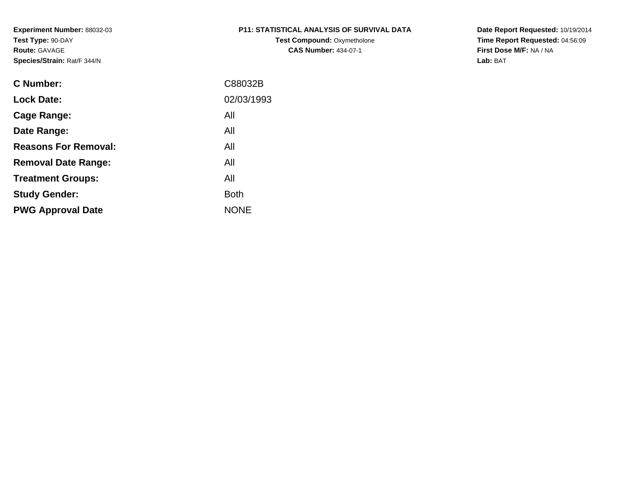# **P11: STATISTICAL ANALYSIS OF SURVIVAL DATA**

**Test Compound: Oxymetholone CAS Number:** 434-07-1

**Date Report Requested:** 10/19/2014 **Time Report Requested:** 04:56:09**First Dose M/F:** NA / NA**Lab:** BAT

| C88032B     |
|-------------|
| 02/03/1993  |
| All         |
| All         |
| All         |
| All         |
| All         |
| <b>Both</b> |
| <b>NONE</b> |
|             |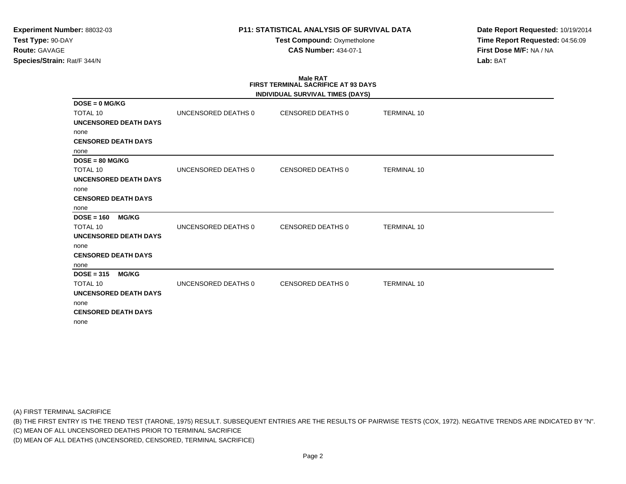**Test Compound:** Oxymetholone**CAS Number:** 434-07-1

**Date Report Requested:** 10/19/2014**Time Report Requested:** 04:56:09**First Dose M/F:** NA / NA**Lab:** BAT

# **Male RATFIRST TERMINAL SACRIFICE AT 93 DAYS**

|                              |                     | INDIVIDUAL SURVIVAL TIMES (DAYS) |                    |
|------------------------------|---------------------|----------------------------------|--------------------|
| $DOSE = 0$ MG/KG             |                     |                                  |                    |
| <b>TOTAL 10</b>              | UNCENSORED DEATHS 0 | CENSORED DEATHS 0                | <b>TERMINAL 10</b> |
| <b>UNCENSORED DEATH DAYS</b> |                     |                                  |                    |
| none                         |                     |                                  |                    |
| <b>CENSORED DEATH DAYS</b>   |                     |                                  |                    |
| none                         |                     |                                  |                    |
| $DOSE = 80 MG/KG$            |                     |                                  |                    |
| <b>TOTAL 10</b>              | UNCENSORED DEATHS 0 | CENSORED DEATHS 0                | <b>TERMINAL 10</b> |
| <b>UNCENSORED DEATH DAYS</b> |                     |                                  |                    |
| none                         |                     |                                  |                    |
| <b>CENSORED DEATH DAYS</b>   |                     |                                  |                    |
| none                         |                     |                                  |                    |
| $DOSE = 160$<br><b>MG/KG</b> |                     |                                  |                    |
| <b>TOTAL 10</b>              | UNCENSORED DEATHS 0 | <b>CENSORED DEATHS 0</b>         | <b>TERMINAL 10</b> |
| UNCENSORED DEATH DAYS        |                     |                                  |                    |
| none                         |                     |                                  |                    |
| <b>CENSORED DEATH DAYS</b>   |                     |                                  |                    |
| none                         |                     |                                  |                    |
| $DOSE = 315$<br><b>MG/KG</b> |                     |                                  |                    |
| <b>TOTAL 10</b>              | UNCENSORED DEATHS 0 | <b>CENSORED DEATHS 0</b>         | <b>TERMINAL 10</b> |
| <b>UNCENSORED DEATH DAYS</b> |                     |                                  |                    |
| none                         |                     |                                  |                    |
| <b>CENSORED DEATH DAYS</b>   |                     |                                  |                    |
| none                         |                     |                                  |                    |

(A) FIRST TERMINAL SACRIFICE

(B) THE FIRST ENTRY IS THE TREND TEST (TARONE, 1975) RESULT. SUBSEQUENT ENTRIES ARE THE RESULTS OF PAIRWISE TESTS (COX, 1972). NEGATIVE TRENDS ARE INDICATED BY "N".

(C) MEAN OF ALL UNCENSORED DEATHS PRIOR TO TERMINAL SACRIFICE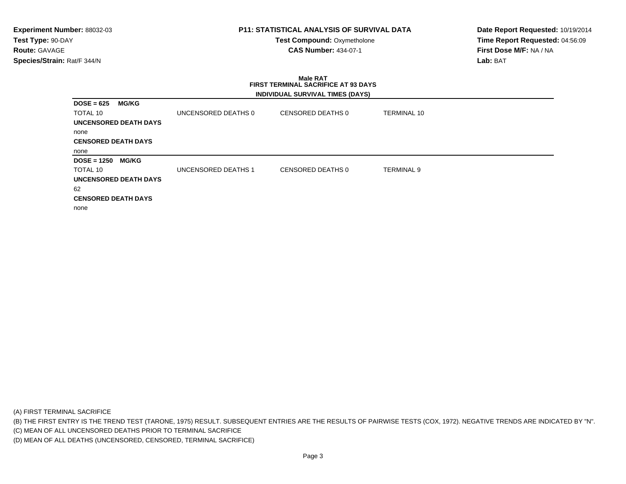**Test Compound:** Oxymetholone**CAS Number:** 434-07-1

**Date Report Requested:** 10/19/2014**Time Report Requested:** 04:56:09**First Dose M/F:** NA / NA**Lab:** BAT

### **Male RAT FIRST TERMINAL SACRIFICE AT 93 DAYSINDIVIDUAL SURVIVAL TIMES (DAYS)**

| <b>MG/KG</b><br>$DOSE = 625$  |                     |                   |             |
|-------------------------------|---------------------|-------------------|-------------|
| TOTAL 10                      | UNCENSORED DEATHS 0 | CENSORED DEATHS 0 | TERMINAL 10 |
| UNCENSORED DEATH DAYS         |                     |                   |             |
| none                          |                     |                   |             |
| <b>CENSORED DEATH DAYS</b>    |                     |                   |             |
| none                          |                     |                   |             |
|                               |                     |                   |             |
| <b>MG/KG</b><br>$DOSE = 1250$ |                     |                   |             |
| TOTAL 10                      | UNCENSORED DEATHS 1 | CENSORED DEATHS 0 | TERMINAL 9  |
| UNCENSORED DEATH DAYS         |                     |                   |             |
| 62                            |                     |                   |             |
| <b>CENSORED DEATH DAYS</b>    |                     |                   |             |

(A) FIRST TERMINAL SACRIFICE

(B) THE FIRST ENTRY IS THE TREND TEST (TARONE, 1975) RESULT. SUBSEQUENT ENTRIES ARE THE RESULTS OF PAIRWISE TESTS (COX, 1972). NEGATIVE TRENDS ARE INDICATED BY "N".

(C) MEAN OF ALL UNCENSORED DEATHS PRIOR TO TERMINAL SACRIFICE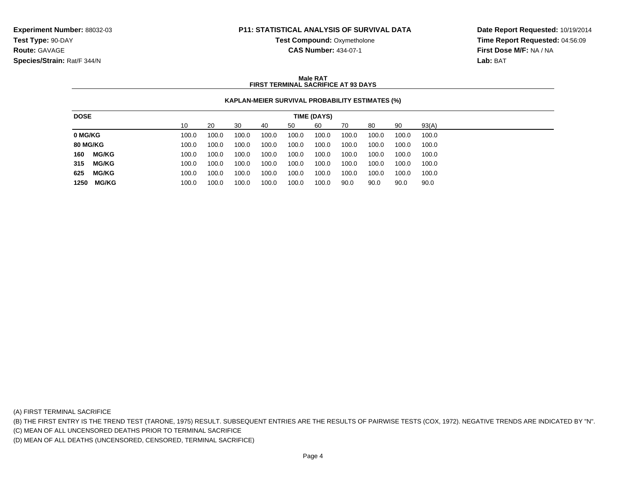**Test Compound:** Oxymetholone

**CAS Number:** 434-07-1

**Date Report Requested:** 10/19/2014**Time Report Requested:** 04:56:09**First Dose M/F:** NA / NA**Lab:** BAT

#### **Male RATFIRST TERMINAL SACRIFICE AT 93 DAYS**

### **KAPLAN-MEIER SURVIVAL PROBABILITY ESTIMATES (%)**

| 10<br>60<br>90<br>93(A)<br>20<br>30<br>70<br>80<br>50<br>40                                                   |
|---------------------------------------------------------------------------------------------------------------|
| 0 MG/KG<br>100.0<br>100.0<br>100.0<br>100.0<br>100.0<br>100.0<br>100.0<br>100.0<br>100.0<br>100.0             |
| <b>80 MG/KG</b><br>100.0<br>100.0<br>100.0<br>100.0<br>100.0<br>100.0<br>100.0<br>100.0<br>100.0<br>100.0     |
| <b>MG/KG</b><br>160<br>100.0<br>100.0<br>100.0<br>100.0<br>100.0<br>100.0<br>100.0<br>100.0<br>100.0<br>100.0 |
| 315<br><b>MG/KG</b><br>100.0<br>100.0<br>100.0<br>100.0<br>100.0<br>100.0<br>100.0<br>100.0<br>100.0<br>100.0 |
| 625<br><b>MG/KG</b><br>100.0<br>100.0<br>100.0<br>100.0<br>100.0<br>100.0<br>100.0<br>100.0<br>100.0<br>100.0 |
| MG/KG<br>100.0<br>1250<br>100.0<br>100.0<br>100.0<br>100.0<br>90.0<br>90.0<br>100.0<br>90.0<br>90.0           |

(A) FIRST TERMINAL SACRIFICE

(B) THE FIRST ENTRY IS THE TREND TEST (TARONE, 1975) RESULT. SUBSEQUENT ENTRIES ARE THE RESULTS OF PAIRWISE TESTS (COX, 1972). NEGATIVE TRENDS ARE INDICATED BY "N".

(C) MEAN OF ALL UNCENSORED DEATHS PRIOR TO TERMINAL SACRIFICE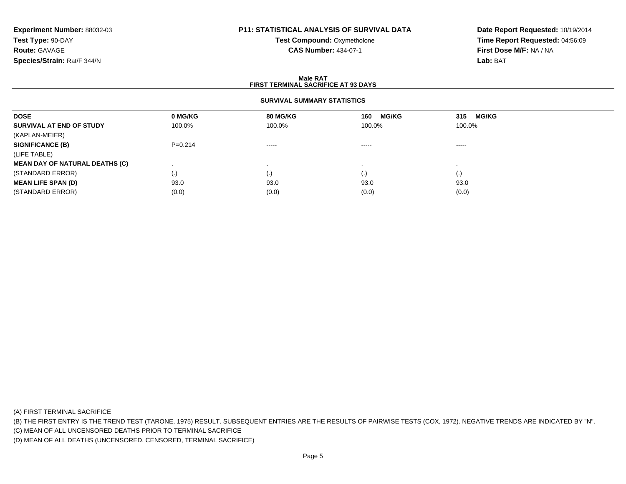# **P11: STATISTICAL ANALYSIS OF SURVIVAL DATA**

**Test Compound:** Oxymetholone**CAS Number:** 434-07-1

**Date Report Requested:** 10/19/2014**Time Report Requested:** 04:56:09**First Dose M/F:** NA / NA**Lab:** BAT

#### **Male RATFIRST TERMINAL SACRIFICE AT 93 DAYS**

### **SURVIVAL SUMMARY STATISTICS**

| <b>DOSE</b>                           | 0 MG/KG            | 80 MG/KG | <b>MG/KG</b><br>160                                                                                                                                                                                                                                                                                                                                                                                                                                                                    | <b>MG/KG</b><br>315 |
|---------------------------------------|--------------------|----------|----------------------------------------------------------------------------------------------------------------------------------------------------------------------------------------------------------------------------------------------------------------------------------------------------------------------------------------------------------------------------------------------------------------------------------------------------------------------------------------|---------------------|
| SURVIVAL AT END OF STUDY              | 100.0%             | 100.0%   | 100.0%                                                                                                                                                                                                                                                                                                                                                                                                                                                                                 | 100.0%              |
| (KAPLAN-MEIER)                        |                    |          |                                                                                                                                                                                                                                                                                                                                                                                                                                                                                        |                     |
| <b>SIGNIFICANCE (B)</b>               | $P=0.214$          | $\cdots$ | $\begin{array}{cccccccccccccc} \multicolumn{2}{c}{} & \multicolumn{2}{c}{} & \multicolumn{2}{c}{} & \multicolumn{2}{c}{} & \multicolumn{2}{c}{} & \multicolumn{2}{c}{} & \multicolumn{2}{c}{} & \multicolumn{2}{c}{} & \multicolumn{2}{c}{} & \multicolumn{2}{c}{} & \multicolumn{2}{c}{} & \multicolumn{2}{c}{} & \multicolumn{2}{c}{} & \multicolumn{2}{c}{} & \multicolumn{2}{c}{} & \multicolumn{2}{c}{} & \multicolumn{2}{c}{} & \multicolumn{2}{c}{} & \multicolumn{2}{c}{} & \$ | -----               |
| (LIFE TABLE)                          |                    |          |                                                                                                                                                                                                                                                                                                                                                                                                                                                                                        |                     |
| <b>MEAN DAY OF NATURAL DEATHS (C)</b> |                    |          |                                                                                                                                                                                                                                                                                                                                                                                                                                                                                        |                     |
| (STANDARD ERROR)                      | $\left( . \right)$ | (.)      | (.)                                                                                                                                                                                                                                                                                                                                                                                                                                                                                    | (.)                 |
| <b>MEAN LIFE SPAN (D)</b>             | 93.0               | 93.0     | 93.0                                                                                                                                                                                                                                                                                                                                                                                                                                                                                   | 93.0                |
| (STANDARD ERROR)                      | (0.0)              | (0.0)    | (0.0)                                                                                                                                                                                                                                                                                                                                                                                                                                                                                  | (0.0)               |

(A) FIRST TERMINAL SACRIFICE

(B) THE FIRST ENTRY IS THE TREND TEST (TARONE, 1975) RESULT. SUBSEQUENT ENTRIES ARE THE RESULTS OF PAIRWISE TESTS (COX, 1972). NEGATIVE TRENDS ARE INDICATED BY "N".

(C) MEAN OF ALL UNCENSORED DEATHS PRIOR TO TERMINAL SACRIFICE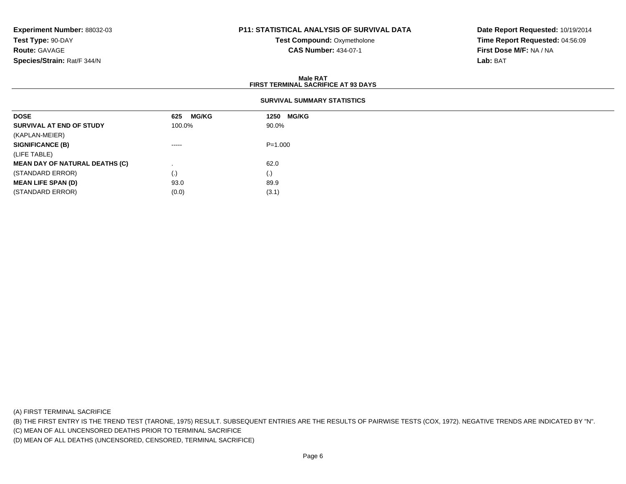# **P11: STATISTICAL ANALYSIS OF SURVIVAL DATA**

**Test Compound:** Oxymetholone**CAS Number:** 434-07-1

**Date Report Requested:** 10/19/2014**Time Report Requested:** 04:56:09**First Dose M/F:** NA / NA**Lab:** BAT

#### **Male RATFIRST TERMINAL SACRIFICE AT 93 DAYS**

| <b>DOSE</b>                           | <b>MG/KG</b><br>625 | <b>MG/KG</b><br>1250 |
|---------------------------------------|---------------------|----------------------|
| SURVIVAL AT END OF STUDY              | 100.0%              | 90.0%                |
| (KAPLAN-MEIER)                        |                     |                      |
| <b>SIGNIFICANCE (B)</b>               | -----               | $P = 1.000$          |
| (LIFE TABLE)                          |                     |                      |
| <b>MEAN DAY OF NATURAL DEATHS (C)</b> |                     | 62.0                 |
| (STANDARD ERROR)                      | $\cdot$             | (.)                  |
| <b>MEAN LIFE SPAN (D)</b>             | 93.0                | 89.9                 |
| (STANDARD ERROR)                      | (0.0)               | (3.1)                |

(A) FIRST TERMINAL SACRIFICE

(B) THE FIRST ENTRY IS THE TREND TEST (TARONE, 1975) RESULT. SUBSEQUENT ENTRIES ARE THE RESULTS OF PAIRWISE TESTS (COX, 1972). NEGATIVE TRENDS ARE INDICATED BY "N".

(C) MEAN OF ALL UNCENSORED DEATHS PRIOR TO TERMINAL SACRIFICE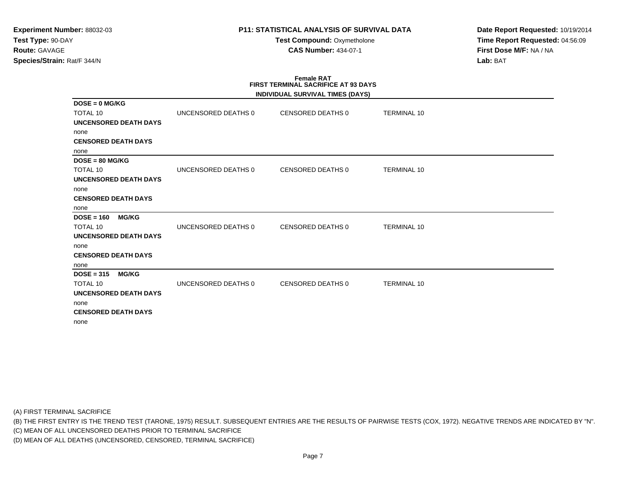**Test Compound:** Oxymetholone**CAS Number:** 434-07-1

**Date Report Requested:** 10/19/2014**Time Report Requested:** 04:56:09**First Dose M/F:** NA / NA**Lab:** BAT

#### **Female RAT FIRST TERMINAL SACRIFICE AT 93 DAYSINDIVIDUAL SURVIVAL TIMES (DAYS)**

|                              |                     | INDIVIDUAL SURVIVAL TIMES (DATS) |                    |  |
|------------------------------|---------------------|----------------------------------|--------------------|--|
| $DOSE = 0$ MG/KG             |                     |                                  |                    |  |
| <b>TOTAL 10</b>              | UNCENSORED DEATHS 0 | CENSORED DEATHS 0                | <b>TERMINAL 10</b> |  |
| UNCENSORED DEATH DAYS        |                     |                                  |                    |  |
| none                         |                     |                                  |                    |  |
| <b>CENSORED DEATH DAYS</b>   |                     |                                  |                    |  |
| none                         |                     |                                  |                    |  |
| $DOSE = 80 MG/KG$            |                     |                                  |                    |  |
| TOTAL 10                     | UNCENSORED DEATHS 0 | CENSORED DEATHS 0                | <b>TERMINAL 10</b> |  |
| UNCENSORED DEATH DAYS        |                     |                                  |                    |  |
| none                         |                     |                                  |                    |  |
| <b>CENSORED DEATH DAYS</b>   |                     |                                  |                    |  |
| none                         |                     |                                  |                    |  |
| <b>MG/KG</b><br>$DOSE = 160$ |                     |                                  |                    |  |
| <b>TOTAL 10</b>              | UNCENSORED DEATHS 0 | CENSORED DEATHS 0                | <b>TERMINAL 10</b> |  |
| <b>UNCENSORED DEATH DAYS</b> |                     |                                  |                    |  |
| none                         |                     |                                  |                    |  |
| <b>CENSORED DEATH DAYS</b>   |                     |                                  |                    |  |
| none                         |                     |                                  |                    |  |
| $DOSE = 315$<br><b>MG/KG</b> |                     |                                  |                    |  |
| TOTAL 10                     | UNCENSORED DEATHS 0 | CENSORED DEATHS 0                | <b>TERMINAL 10</b> |  |
| <b>UNCENSORED DEATH DAYS</b> |                     |                                  |                    |  |
| none                         |                     |                                  |                    |  |
| <b>CENSORED DEATH DAYS</b>   |                     |                                  |                    |  |
| none                         |                     |                                  |                    |  |
|                              |                     |                                  |                    |  |

(A) FIRST TERMINAL SACRIFICE

(B) THE FIRST ENTRY IS THE TREND TEST (TARONE, 1975) RESULT. SUBSEQUENT ENTRIES ARE THE RESULTS OF PAIRWISE TESTS (COX, 1972). NEGATIVE TRENDS ARE INDICATED BY "N".

(C) MEAN OF ALL UNCENSORED DEATHS PRIOR TO TERMINAL SACRIFICE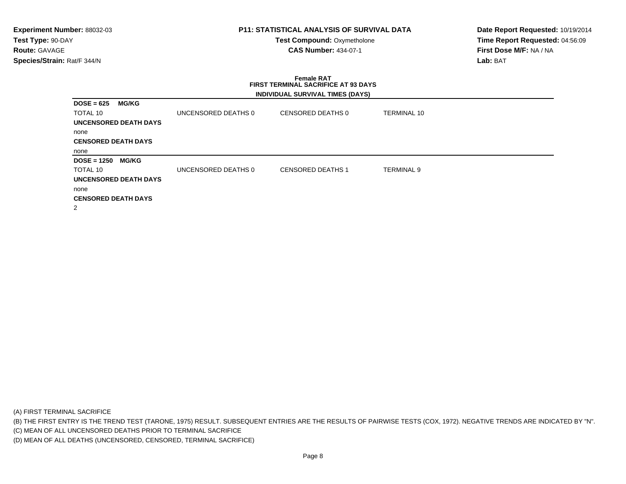**Test Compound:** Oxymetholone**CAS Number:** 434-07-1

**Date Report Requested:** 10/19/2014**Time Report Requested:** 04:56:09**First Dose M/F:** NA / NA**Lab:** BAT

# **Female RAT FIRST TERMINAL SACRIFICE AT 93 DAYSINDIVIDUAL SURVIVAL TIMES (DAYS)**

| <b>MG/KG</b><br>$DOSE = 625$  |                     |                          |                    |  |
|-------------------------------|---------------------|--------------------------|--------------------|--|
| TOTAL 10                      | UNCENSORED DEATHS 0 | CENSORED DEATHS 0        | <b>TERMINAL 10</b> |  |
| <b>UNCENSORED DEATH DAYS</b>  |                     |                          |                    |  |
| none                          |                     |                          |                    |  |
| <b>CENSORED DEATH DAYS</b>    |                     |                          |                    |  |
| none                          |                     |                          |                    |  |
| <b>MG/KG</b><br>$DOSE = 1250$ |                     |                          |                    |  |
| <b>TOTAL 10</b>               | UNCENSORED DEATHS 0 | <b>CENSORED DEATHS 1</b> | <b>TERMINAL 9</b>  |  |
| <b>UNCENSORED DEATH DAYS</b>  |                     |                          |                    |  |
| none                          |                     |                          |                    |  |
| <b>CENSORED DEATH DAYS</b>    |                     |                          |                    |  |
| 2                             |                     |                          |                    |  |

(A) FIRST TERMINAL SACRIFICE

(B) THE FIRST ENTRY IS THE TREND TEST (TARONE, 1975) RESULT. SUBSEQUENT ENTRIES ARE THE RESULTS OF PAIRWISE TESTS (COX, 1972). NEGATIVE TRENDS ARE INDICATED BY "N".

(C) MEAN OF ALL UNCENSORED DEATHS PRIOR TO TERMINAL SACRIFICE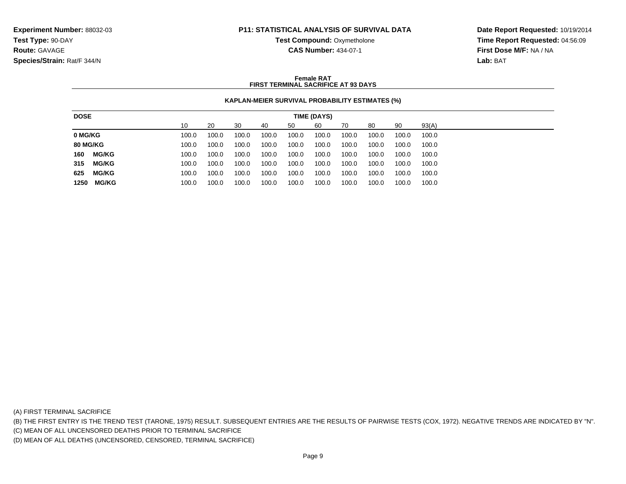**Test Compound:** Oxymetholone

**CAS Number:** 434-07-1

**Date Report Requested:** 10/19/2014**Time Report Requested:** 04:56:09**First Dose M/F:** NA / NA**Lab:** BAT

#### **Female RATFIRST TERMINAL SACRIFICE AT 93 DAYS**

### **KAPLAN-MEIER SURVIVAL PROBABILITY ESTIMATES (%)**

| 90<br>93(A)<br>10<br>20<br>60<br>30<br>80<br>50<br>70<br>40<br>100.0<br>100.0<br>100.0<br>100.0<br>100.0<br>100.0<br>100.0<br>100.0<br>100.0<br>100.0<br>100.0<br>100.0<br>100.0<br>100.0<br>100.0<br>100.0<br>100.0<br>100.0<br>100.0<br>100.0<br><b>MG/KG</b><br>100.0<br>100.0<br>100.0<br>100.0<br>100.0<br>100.0<br>100.0<br>100.0<br>100.0<br>100.0 |
|-----------------------------------------------------------------------------------------------------------------------------------------------------------------------------------------------------------------------------------------------------------------------------------------------------------------------------------------------------------|
| 0 MG/KG                                                                                                                                                                                                                                                                                                                                                   |
| <b>80 MG/KG</b><br>160                                                                                                                                                                                                                                                                                                                                    |
|                                                                                                                                                                                                                                                                                                                                                           |
|                                                                                                                                                                                                                                                                                                                                                           |
| <b>MG/KG</b><br>315<br>100.0<br>100.0<br>100.0<br>100.0<br>100.0<br>100.0<br>100.0<br>100.0<br>100.0<br>100.0                                                                                                                                                                                                                                             |
| 625<br><b>MG/KG</b><br>100.0<br>100.0<br>100.0<br>100.0<br>100.0<br>100.0<br>100.0<br>100.0<br>100.0<br>100.0                                                                                                                                                                                                                                             |
| <b>MG/KG</b><br>100.0<br>100.0<br>1250<br>100.0<br>100.0<br>100.0<br>100.0<br>100.0<br>100.0<br>100.0<br>100.0                                                                                                                                                                                                                                            |

(A) FIRST TERMINAL SACRIFICE

(B) THE FIRST ENTRY IS THE TREND TEST (TARONE, 1975) RESULT. SUBSEQUENT ENTRIES ARE THE RESULTS OF PAIRWISE TESTS (COX, 1972). NEGATIVE TRENDS ARE INDICATED BY "N".

(C) MEAN OF ALL UNCENSORED DEATHS PRIOR TO TERMINAL SACRIFICE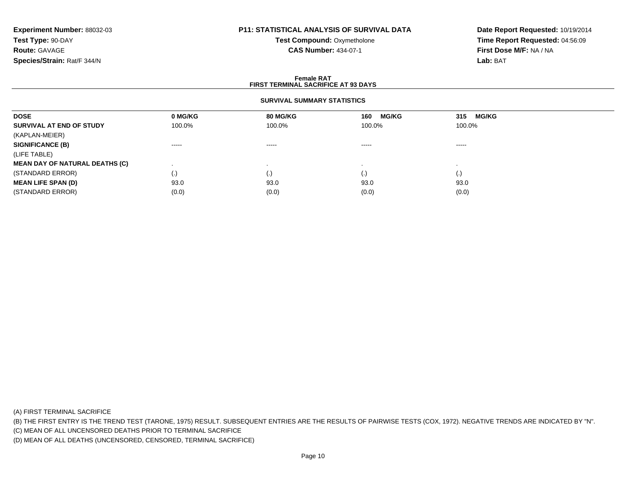# **P11: STATISTICAL ANALYSIS OF SURVIVAL DATA**

**Test Compound:** Oxymetholone**CAS Number:** 434-07-1

**Date Report Requested:** 10/19/2014**Time Report Requested:** 04:56:09**First Dose M/F:** NA / NA**Lab:** BAT

#### **Female RATFIRST TERMINAL SACRIFICE AT 93 DAYS**

### **SURVIVAL SUMMARY STATISTICS**

| <b>DOSE</b>                           | 0 MG/KG                                                                                                                                                                                                                                                                                                                                                                                                                                                                                | 80 MG/KG  | <b>MG/KG</b><br>160    | <b>MG/KG</b><br>315 |  |
|---------------------------------------|----------------------------------------------------------------------------------------------------------------------------------------------------------------------------------------------------------------------------------------------------------------------------------------------------------------------------------------------------------------------------------------------------------------------------------------------------------------------------------------|-----------|------------------------|---------------------|--|
| SURVIVAL AT END OF STUDY              | 100.0%                                                                                                                                                                                                                                                                                                                                                                                                                                                                                 | 100.0%    | 100.0%                 | 100.0%              |  |
| (KAPLAN-MEIER)                        |                                                                                                                                                                                                                                                                                                                                                                                                                                                                                        |           |                        |                     |  |
| <b>SIGNIFICANCE (B)</b>               | $\begin{array}{cccccccccccccc} \multicolumn{2}{c}{} & \multicolumn{2}{c}{} & \multicolumn{2}{c}{} & \multicolumn{2}{c}{} & \multicolumn{2}{c}{} & \multicolumn{2}{c}{} & \multicolumn{2}{c}{} & \multicolumn{2}{c}{} & \multicolumn{2}{c}{} & \multicolumn{2}{c}{} & \multicolumn{2}{c}{} & \multicolumn{2}{c}{} & \multicolumn{2}{c}{} & \multicolumn{2}{c}{} & \multicolumn{2}{c}{} & \multicolumn{2}{c}{} & \multicolumn{2}{c}{} & \multicolumn{2}{c}{} & \multicolumn{2}{c}{} & \$ | $\cdots$  | $\cdots$               | $\cdots$            |  |
| (LIFE TABLE)                          |                                                                                                                                                                                                                                                                                                                                                                                                                                                                                        |           |                        |                     |  |
| <b>MEAN DAY OF NATURAL DEATHS (C)</b> |                                                                                                                                                                                                                                                                                                                                                                                                                                                                                        |           |                        |                     |  |
| (STANDARD ERROR)                      | (.)                                                                                                                                                                                                                                                                                                                                                                                                                                                                                    | $\cdot$ , | $\left( \cdot \right)$ | (.)                 |  |
| <b>MEAN LIFE SPAN (D)</b>             | 93.0                                                                                                                                                                                                                                                                                                                                                                                                                                                                                   | 93.0      | 93.0                   | 93.0                |  |
| (STANDARD ERROR)                      | (0.0)                                                                                                                                                                                                                                                                                                                                                                                                                                                                                  | (0.0)     | (0.0)                  | (0.0)               |  |

(A) FIRST TERMINAL SACRIFICE

(B) THE FIRST ENTRY IS THE TREND TEST (TARONE, 1975) RESULT. SUBSEQUENT ENTRIES ARE THE RESULTS OF PAIRWISE TESTS (COX, 1972). NEGATIVE TRENDS ARE INDICATED BY "N".

(C) MEAN OF ALL UNCENSORED DEATHS PRIOR TO TERMINAL SACRIFICE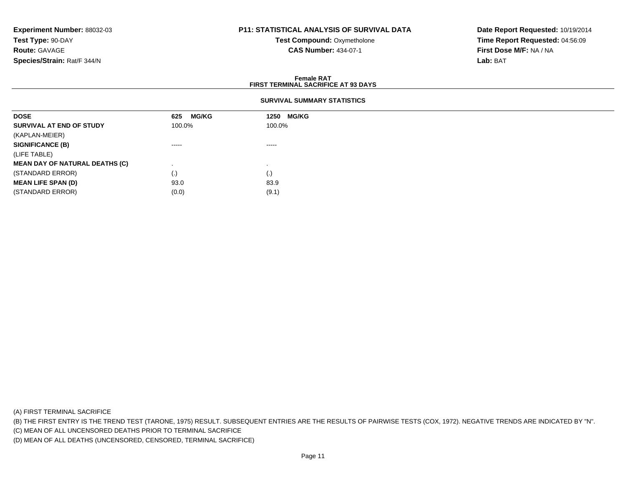### **P11: STATISTICAL ANALYSIS OF SURVIVAL DATA**

**Test Compound:** Oxymetholone**CAS Number:** 434-07-1

**Date Report Requested:** 10/19/2014**Time Report Requested:** 04:56:09**First Dose M/F:** NA / NA**Lab:** BAT

#### **Female RATFIRST TERMINAL SACRIFICE AT 93 DAYS**

### **SURVIVAL SUMMARY STATISTICS**

| <b>DOSE</b>                           | <b>MG/KG</b><br>625 | <b>MG/KG</b><br>1250 |
|---------------------------------------|---------------------|----------------------|
| SURVIVAL AT END OF STUDY              | 100.0%              | 100.0%               |
| (KAPLAN-MEIER)                        |                     |                      |
| <b>SIGNIFICANCE (B)</b>               | ------              | ------               |
| (LIFE TABLE)                          |                     |                      |
| <b>MEAN DAY OF NATURAL DEATHS (C)</b> |                     |                      |
| (STANDARD ERROR)                      | (.)                 | (.)                  |
| <b>MEAN LIFE SPAN (D)</b>             | 93.0                | 83.9                 |
| (STANDARD ERROR)                      | (0.0)               | (9.1)                |

(A) FIRST TERMINAL SACRIFICE

(B) THE FIRST ENTRY IS THE TREND TEST (TARONE, 1975) RESULT. SUBSEQUENT ENTRIES ARE THE RESULTS OF PAIRWISE TESTS (COX, 1972). NEGATIVE TRENDS ARE INDICATED BY "N".

(C) MEAN OF ALL UNCENSORED DEATHS PRIOR TO TERMINAL SACRIFICE